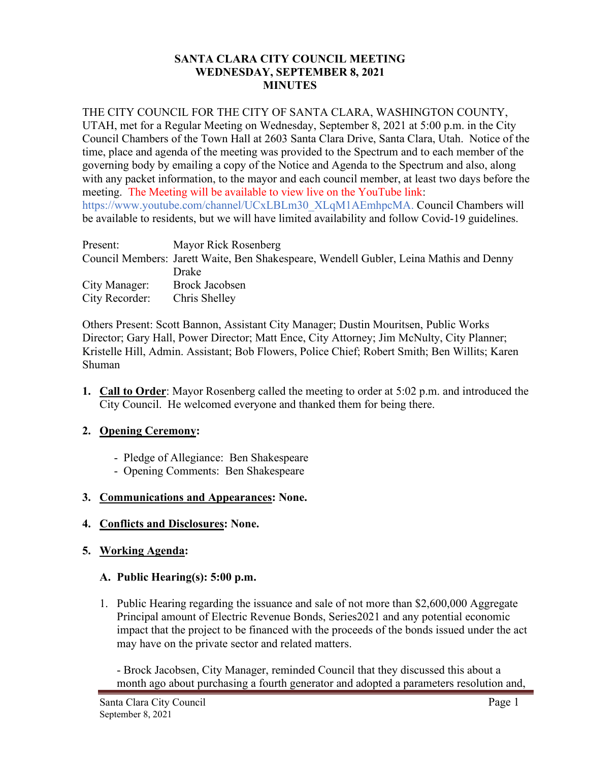# **SANTA CLARA CITY COUNCIL MEETING WEDNESDAY, SEPTEMBER 8, 2021 MINUTES**

# THE CITY COUNCIL FOR THE CITY OF SANTA CLARA, WASHINGTON COUNTY,

UTAH, met for a Regular Meeting on Wednesday, September 8, 2021 at 5:00 p.m. in the City Council Chambers of the Town Hall at 2603 Santa Clara Drive, Santa Clara, Utah. Notice of the time, place and agenda of the meeting was provided to the Spectrum and to each member of the governing body by emailing a copy of the Notice and Agenda to the Spectrum and also, along with any packet information, to the mayor and each council member, at least two days before the meeting. The Meeting will be available to view live on the YouTube link: https://www.youtube.com/channel/UCxLBLm30\_XLqM1AEmhpcMA. Council Chambers will be available to residents, but we will have limited availability and follow Covid-19 guidelines.

| Present:       | Mayor Rick Rosenberg                                                                   |
|----------------|----------------------------------------------------------------------------------------|
|                | Council Members: Jarett Waite, Ben Shakespeare, Wendell Gubler, Leina Mathis and Denny |
|                | Drake                                                                                  |
| City Manager:  | <b>Brock Jacobsen</b>                                                                  |
| City Recorder: | Chris Shelley                                                                          |

Others Present: Scott Bannon, Assistant City Manager; Dustin Mouritsen, Public Works Director; Gary Hall, Power Director; Matt Ence, City Attorney; Jim McNulty, City Planner; Kristelle Hill, Admin. Assistant; Bob Flowers, Police Chief; Robert Smith; Ben Willits; Karen Shuman

**1. Call to Order**: Mayor Rosenberg called the meeting to order at 5:02 p.m. and introduced the City Council. He welcomed everyone and thanked them for being there.

# **2. Opening Ceremony:**

- Pledge of Allegiance: Ben Shakespeare
- Opening Comments: Ben Shakespeare

# **3. Communications and Appearances: None.**

# **4. Conflicts and Disclosures: None.**

# **5. Working Agenda:**

# **A. Public Hearing(s): 5:00 p.m.**

1. Public Hearing regarding the issuance and sale of not more than \$2,600,000 Aggregate Principal amount of Electric Revenue Bonds, Series2021 and any potential economic impact that the project to be financed with the proceeds of the bonds issued under the act may have on the private sector and related matters.

- Brock Jacobsen, City Manager, reminded Council that they discussed this about a month ago about purchasing a fourth generator and adopted a parameters resolution and,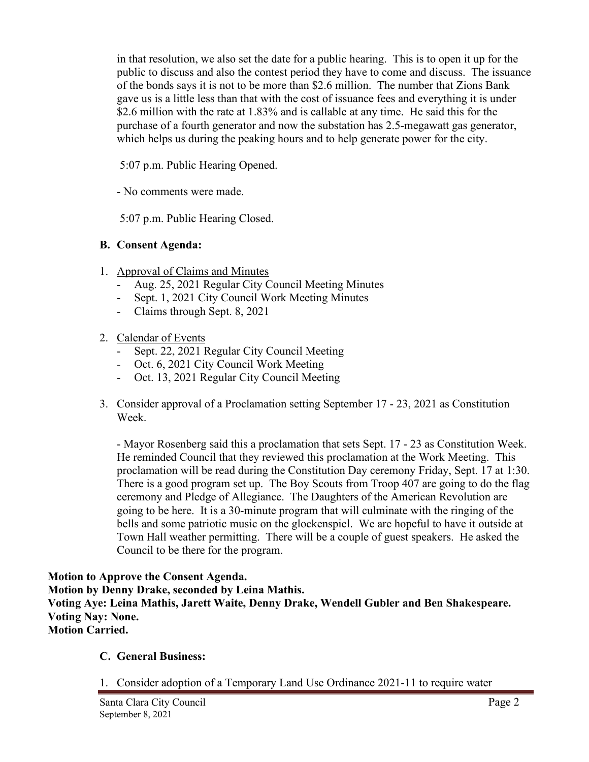in that resolution, we also set the date for a public hearing. This is to open it up for the public to discuss and also the contest period they have to come and discuss. The issuance of the bonds says it is not to be more than \$2.6 million. The number that Zions Bank gave us is a little less than that with the cost of issuance fees and everything it is under \$2.6 million with the rate at 1.83% and is callable at any time. He said this for the purchase of a fourth generator and now the substation has 2.5-megawatt gas generator, which helps us during the peaking hours and to help generate power for the city.

5:07 p.m. Public Hearing Opened.

- No comments were made.

5:07 p.m. Public Hearing Closed.

# **B. Consent Agenda:**

- 1. Approval of Claims and Minutes
	- Aug. 25, 2021 Regular City Council Meeting Minutes
	- Sept. 1, 2021 City Council Work Meeting Minutes
	- Claims through Sept. 8, 2021

# 2. Calendar of Events

- Sept. 22, 2021 Regular City Council Meeting
- Oct. 6, 2021 City Council Work Meeting
- Oct. 13, 2021 Regular City Council Meeting
- 3. Consider approval of a Proclamation setting September 17 23, 2021 as Constitution Week.

- Mayor Rosenberg said this a proclamation that sets Sept. 17 - 23 as Constitution Week. He reminded Council that they reviewed this proclamation at the Work Meeting. This proclamation will be read during the Constitution Day ceremony Friday, Sept. 17 at 1:30. There is a good program set up. The Boy Scouts from Troop 407 are going to do the flag ceremony and Pledge of Allegiance. The Daughters of the American Revolution are going to be here. It is a 30-minute program that will culminate with the ringing of the bells and some patriotic music on the glockenspiel. We are hopeful to have it outside at Town Hall weather permitting. There will be a couple of guest speakers. He asked the Council to be there for the program.

**Motion to Approve the Consent Agenda. Motion by Denny Drake, seconded by Leina Mathis. Voting Aye: Leina Mathis, Jarett Waite, Denny Drake, Wendell Gubler and Ben Shakespeare. Voting Nay: None. Motion Carried.**

# **C. General Business:**

1. Consider adoption of a Temporary Land Use Ordinance 2021-11 to require water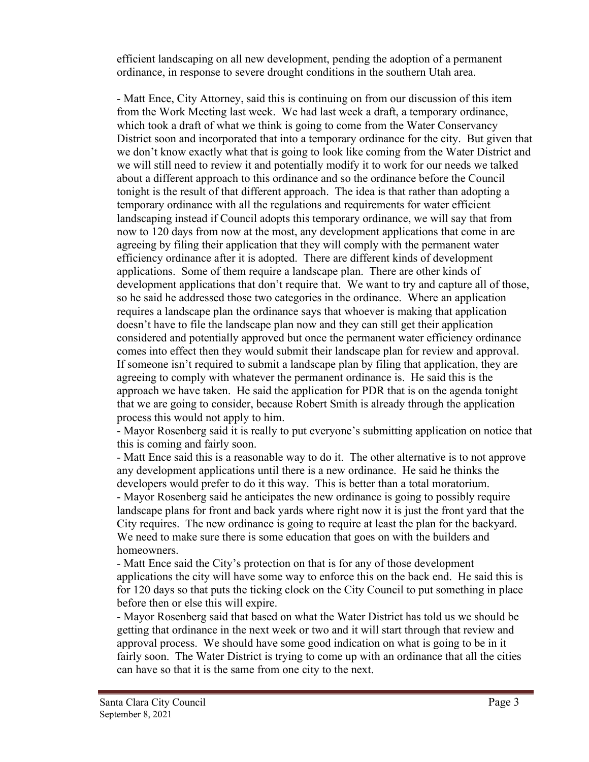efficient landscaping on all new development, pending the adoption of a permanent ordinance, in response to severe drought conditions in the southern Utah area.

- Matt Ence, City Attorney, said this is continuing on from our discussion of this item from the Work Meeting last week. We had last week a draft, a temporary ordinance, which took a draft of what we think is going to come from the Water Conservancy District soon and incorporated that into a temporary ordinance for the city. But given that we don't know exactly what that is going to look like coming from the Water District and we will still need to review it and potentially modify it to work for our needs we talked about a different approach to this ordinance and so the ordinance before the Council tonight is the result of that different approach. The idea is that rather than adopting a temporary ordinance with all the regulations and requirements for water efficient landscaping instead if Council adopts this temporary ordinance, we will say that from now to 120 days from now at the most, any development applications that come in are agreeing by filing their application that they will comply with the permanent water efficiency ordinance after it is adopted. There are different kinds of development applications. Some of them require a landscape plan. There are other kinds of development applications that don't require that. We want to try and capture all of those, so he said he addressed those two categories in the ordinance. Where an application requires a landscape plan the ordinance says that whoever is making that application doesn't have to file the landscape plan now and they can still get their application considered and potentially approved but once the permanent water efficiency ordinance comes into effect then they would submit their landscape plan for review and approval. If someone isn't required to submit a landscape plan by filing that application, they are agreeing to comply with whatever the permanent ordinance is. He said this is the approach we have taken. He said the application for PDR that is on the agenda tonight that we are going to consider, because Robert Smith is already through the application process this would not apply to him.

- Mayor Rosenberg said it is really to put everyone's submitting application on notice that this is coming and fairly soon.

- Matt Ence said this is a reasonable way to do it. The other alternative is to not approve any development applications until there is a new ordinance. He said he thinks the developers would prefer to do it this way. This is better than a total moratorium. - Mayor Rosenberg said he anticipates the new ordinance is going to possibly require landscape plans for front and back yards where right now it is just the front yard that the City requires. The new ordinance is going to require at least the plan for the backyard. We need to make sure there is some education that goes on with the builders and homeowners.

- Matt Ence said the City's protection on that is for any of those development applications the city will have some way to enforce this on the back end. He said this is for 120 days so that puts the ticking clock on the City Council to put something in place before then or else this will expire.

- Mayor Rosenberg said that based on what the Water District has told us we should be getting that ordinance in the next week or two and it will start through that review and approval process. We should have some good indication on what is going to be in it fairly soon. The Water District is trying to come up with an ordinance that all the cities can have so that it is the same from one city to the next.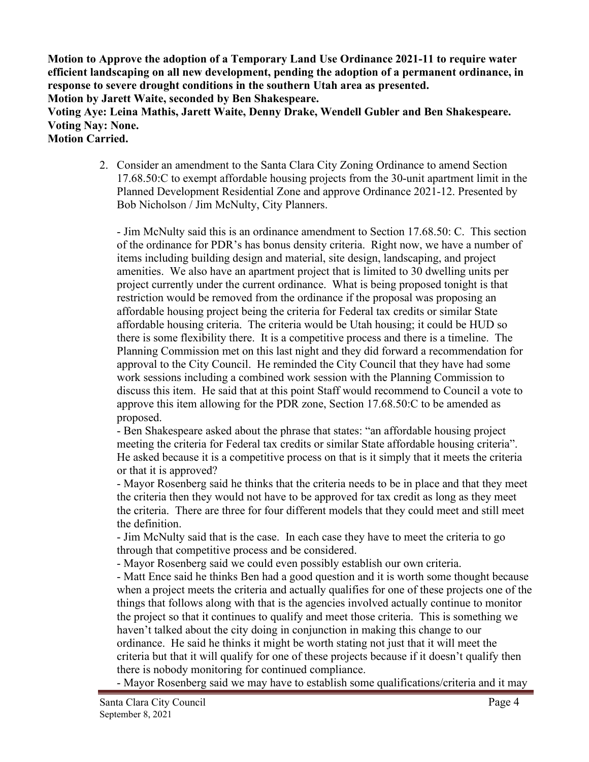**Motion to Approve the adoption of a Temporary Land Use Ordinance 2021-11 to require water efficient landscaping on all new development, pending the adoption of a permanent ordinance, in response to severe drought conditions in the southern Utah area as presented.**

**Motion by Jarett Waite, seconded by Ben Shakespeare.** 

**Voting Aye: Leina Mathis, Jarett Waite, Denny Drake, Wendell Gubler and Ben Shakespeare. Voting Nay: None.**

**Motion Carried.**

2. Consider an amendment to the Santa Clara City Zoning Ordinance to amend Section 17.68.50:C to exempt affordable housing projects from the 30-unit apartment limit in the Planned Development Residential Zone and approve Ordinance 2021-12. Presented by Bob Nicholson / Jim McNulty, City Planners.

- Jim McNulty said this is an ordinance amendment to Section 17.68.50: C. This section of the ordinance for PDR's has bonus density criteria. Right now, we have a number of items including building design and material, site design, landscaping, and project amenities. We also have an apartment project that is limited to 30 dwelling units per project currently under the current ordinance. What is being proposed tonight is that restriction would be removed from the ordinance if the proposal was proposing an affordable housing project being the criteria for Federal tax credits or similar State affordable housing criteria. The criteria would be Utah housing; it could be HUD so there is some flexibility there. It is a competitive process and there is a timeline. The Planning Commission met on this last night and they did forward a recommendation for approval to the City Council. He reminded the City Council that they have had some work sessions including a combined work session with the Planning Commission to discuss this item. He said that at this point Staff would recommend to Council a vote to approve this item allowing for the PDR zone, Section 17.68.50:C to be amended as proposed.

- Ben Shakespeare asked about the phrase that states: "an affordable housing project meeting the criteria for Federal tax credits or similar State affordable housing criteria". He asked because it is a competitive process on that is it simply that it meets the criteria or that it is approved?

- Mayor Rosenberg said he thinks that the criteria needs to be in place and that they meet the criteria then they would not have to be approved for tax credit as long as they meet the criteria. There are three for four different models that they could meet and still meet the definition.

- Jim McNulty said that is the case. In each case they have to meet the criteria to go through that competitive process and be considered.

- Mayor Rosenberg said we could even possibly establish our own criteria.

- Matt Ence said he thinks Ben had a good question and it is worth some thought because when a project meets the criteria and actually qualifies for one of these projects one of the things that follows along with that is the agencies involved actually continue to monitor the project so that it continues to qualify and meet those criteria. This is something we haven't talked about the city doing in conjunction in making this change to our ordinance. He said he thinks it might be worth stating not just that it will meet the criteria but that it will qualify for one of these projects because if it doesn't qualify then there is nobody monitoring for continued compliance.

- Mayor Rosenberg said we may have to establish some qualifications/criteria and it may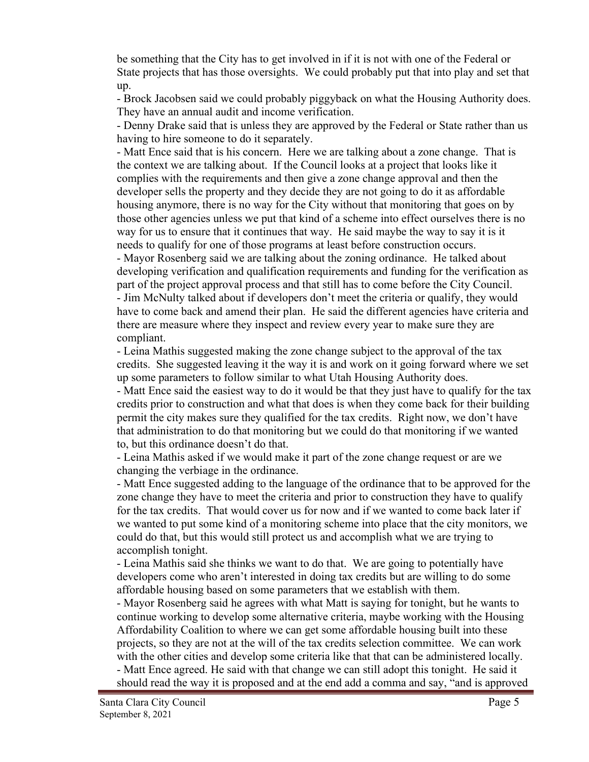be something that the City has to get involved in if it is not with one of the Federal or State projects that has those oversights. We could probably put that into play and set that up.

- Brock Jacobsen said we could probably piggyback on what the Housing Authority does. They have an annual audit and income verification.

- Denny Drake said that is unless they are approved by the Federal or State rather than us having to hire someone to do it separately.

- Matt Ence said that is his concern. Here we are talking about a zone change. That is the context we are talking about. If the Council looks at a project that looks like it complies with the requirements and then give a zone change approval and then the developer sells the property and they decide they are not going to do it as affordable housing anymore, there is no way for the City without that monitoring that goes on by those other agencies unless we put that kind of a scheme into effect ourselves there is no way for us to ensure that it continues that way. He said maybe the way to say it is it needs to qualify for one of those programs at least before construction occurs.

- Mayor Rosenberg said we are talking about the zoning ordinance. He talked about developing verification and qualification requirements and funding for the verification as part of the project approval process and that still has to come before the City Council. - Jim McNulty talked about if developers don't meet the criteria or qualify, they would have to come back and amend their plan. He said the different agencies have criteria and there are measure where they inspect and review every year to make sure they are compliant.

- Leina Mathis suggested making the zone change subject to the approval of the tax credits. She suggested leaving it the way it is and work on it going forward where we set up some parameters to follow similar to what Utah Housing Authority does.

- Matt Ence said the easiest way to do it would be that they just have to qualify for the tax credits prior to construction and what that does is when they come back for their building permit the city makes sure they qualified for the tax credits. Right now, we don't have that administration to do that monitoring but we could do that monitoring if we wanted to, but this ordinance doesn't do that.

- Leina Mathis asked if we would make it part of the zone change request or are we changing the verbiage in the ordinance.

- Matt Ence suggested adding to the language of the ordinance that to be approved for the zone change they have to meet the criteria and prior to construction they have to qualify for the tax credits. That would cover us for now and if we wanted to come back later if we wanted to put some kind of a monitoring scheme into place that the city monitors, we could do that, but this would still protect us and accomplish what we are trying to accomplish tonight.

- Leina Mathis said she thinks we want to do that. We are going to potentially have developers come who aren't interested in doing tax credits but are willing to do some affordable housing based on some parameters that we establish with them.

- Mayor Rosenberg said he agrees with what Matt is saying for tonight, but he wants to continue working to develop some alternative criteria, maybe working with the Housing Affordability Coalition to where we can get some affordable housing built into these projects, so they are not at the will of the tax credits selection committee. We can work with the other cities and develop some criteria like that that can be administered locally.

- Matt Ence agreed. He said with that change we can still adopt this tonight. He said it should read the way it is proposed and at the end add a comma and say, "and is approved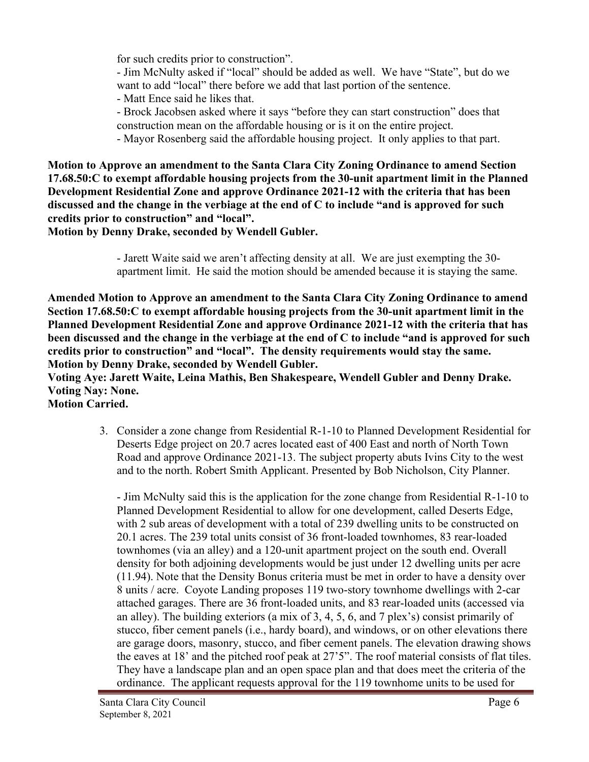for such credits prior to construction".

- Jim McNulty asked if "local" should be added as well. We have "State", but do we want to add "local" there before we add that last portion of the sentence.

- Matt Ence said he likes that.

- Brock Jacobsen asked where it says "before they can start construction" does that

construction mean on the affordable housing or is it on the entire project.

- Mayor Rosenberg said the affordable housing project. It only applies to that part.

**Motion to Approve an amendment to the Santa Clara City Zoning Ordinance to amend Section 17.68.50:C to exempt affordable housing projects from the 30-unit apartment limit in the Planned Development Residential Zone and approve Ordinance 2021-12 with the criteria that has been discussed and the change in the verbiage at the end of C to include "and is approved for such credits prior to construction" and "local".**

**Motion by Denny Drake, seconded by Wendell Gubler.**

- Jarett Waite said we aren't affecting density at all. We are just exempting the 30 apartment limit. He said the motion should be amended because it is staying the same.

**Amended Motion to Approve an amendment to the Santa Clara City Zoning Ordinance to amend Section 17.68.50:C to exempt affordable housing projects from the 30-unit apartment limit in the Planned Development Residential Zone and approve Ordinance 2021-12 with the criteria that has been discussed and the change in the verbiage at the end of C to include "and is approved for such credits prior to construction" and "local". The density requirements would stay the same. Motion by Denny Drake, seconded by Wendell Gubler.**

**Voting Aye: Jarett Waite, Leina Mathis, Ben Shakespeare, Wendell Gubler and Denny Drake. Voting Nay: None.**

**Motion Carried.**

 3. Consider a zone change from Residential R-1-10 to Planned Development Residential for Deserts Edge project on 20.7 acres located east of 400 East and north of North Town Road and approve Ordinance 2021-13. The subject property abuts Ivins City to the west and to the north. Robert Smith Applicant. Presented by Bob Nicholson, City Planner.

- Jim McNulty said this is the application for the zone change from Residential R-1-10 to Planned Development Residential to allow for one development, called Deserts Edge, with 2 sub areas of development with a total of 239 dwelling units to be constructed on 20.1 acres. The 239 total units consist of 36 front-loaded townhomes, 83 rear-loaded townhomes (via an alley) and a 120-unit apartment project on the south end. Overall density for both adjoining developments would be just under 12 dwelling units per acre (11.94). Note that the Density Bonus criteria must be met in order to have a density over 8 units / acre. Coyote Landing proposes 119 two-story townhome dwellings with 2-car attached garages. There are 36 front-loaded units, and 83 rear-loaded units (accessed via an alley). The building exteriors (a mix of 3, 4, 5, 6, and 7 plex's) consist primarily of stucco, fiber cement panels (i.e., hardy board), and windows, or on other elevations there are garage doors, masonry, stucco, and fiber cement panels. The elevation drawing shows the eaves at 18' and the pitched roof peak at 27'5". The roof material consists of flat tiles. They have a landscape plan and an open space plan and that does meet the criteria of the ordinance. The applicant requests approval for the 119 townhome units to be used for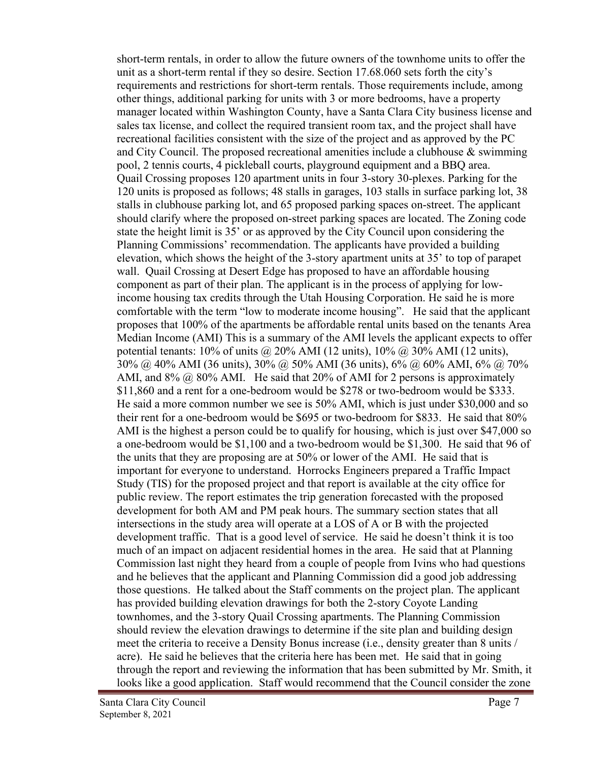short-term rentals, in order to allow the future owners of the townhome units to offer the unit as a short-term rental if they so desire. Section 17.68.060 sets forth the city's requirements and restrictions for short-term rentals. Those requirements include, among other things, additional parking for units with 3 or more bedrooms, have a property manager located within Washington County, have a Santa Clara City business license and sales tax license, and collect the required transient room tax, and the project shall have recreational facilities consistent with the size of the project and as approved by the PC and City Council. The proposed recreational amenities include a clubhouse & swimming pool, 2 tennis courts, 4 pickleball courts, playground equipment and a BBQ area. Quail Crossing proposes 120 apartment units in four 3-story 30-plexes. Parking for the 120 units is proposed as follows; 48 stalls in garages, 103 stalls in surface parking lot, 38 stalls in clubhouse parking lot, and 65 proposed parking spaces on-street. The applicant should clarify where the proposed on-street parking spaces are located. The Zoning code state the height limit is 35' or as approved by the City Council upon considering the Planning Commissions' recommendation. The applicants have provided a building elevation, which shows the height of the 3-story apartment units at 35' to top of parapet wall. Quail Crossing at Desert Edge has proposed to have an affordable housing component as part of their plan. The applicant is in the process of applying for lowincome housing tax credits through the Utah Housing Corporation. He said he is more comfortable with the term "low to moderate income housing". He said that the applicant proposes that 100% of the apartments be affordable rental units based on the tenants Area Median Income (AMI) This is a summary of the AMI levels the applicant expects to offer potential tenants:  $10\%$  of units  $\omega$  20% AMI (12 units),  $10\%$   $\omega$  30% AMI (12 units), 30% @ 40% AMI (36 units), 30% @ 50% AMI (36 units), 6% @ 60% AMI, 6% @ 70% AMI, and  $8\%$  @  $80\%$  AMI. He said that  $20\%$  of AMI for 2 persons is approximately \$11,860 and a rent for a one-bedroom would be \$278 or two-bedroom would be \$333. He said a more common number we see is 50% AMI, which is just under \$30,000 and so their rent for a one-bedroom would be \$695 or two-bedroom for \$833. He said that 80% AMI is the highest a person could be to qualify for housing, which is just over \$47,000 so a one-bedroom would be \$1,100 and a two-bedroom would be \$1,300. He said that 96 of the units that they are proposing are at 50% or lower of the AMI. He said that is important for everyone to understand. Horrocks Engineers prepared a Traffic Impact Study (TIS) for the proposed project and that report is available at the city office for public review. The report estimates the trip generation forecasted with the proposed development for both AM and PM peak hours. The summary section states that all intersections in the study area will operate at a LOS of A or B with the projected development traffic. That is a good level of service. He said he doesn't think it is too much of an impact on adjacent residential homes in the area. He said that at Planning Commission last night they heard from a couple of people from Ivins who had questions and he believes that the applicant and Planning Commission did a good job addressing those questions. He talked about the Staff comments on the project plan. The applicant has provided building elevation drawings for both the 2-story Coyote Landing townhomes, and the 3-story Quail Crossing apartments. The Planning Commission should review the elevation drawings to determine if the site plan and building design meet the criteria to receive a Density Bonus increase (i.e., density greater than 8 units / acre). He said he believes that the criteria here has been met. He said that in going through the report and reviewing the information that has been submitted by Mr. Smith, it looks like a good application. Staff would recommend that the Council consider the zone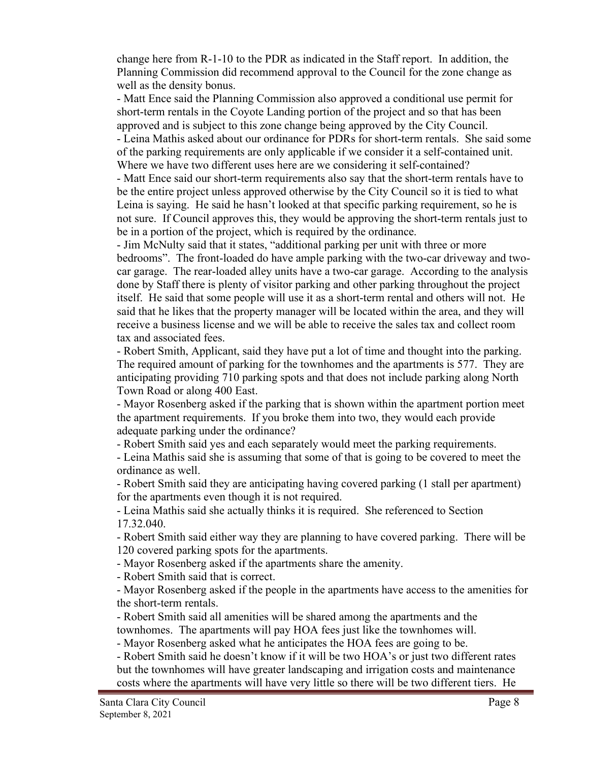change here from R-1-10 to the PDR as indicated in the Staff report. In addition, the Planning Commission did recommend approval to the Council for the zone change as well as the density bonus.

- Matt Ence said the Planning Commission also approved a conditional use permit for short-term rentals in the Coyote Landing portion of the project and so that has been approved and is subject to this zone change being approved by the City Council. - Leina Mathis asked about our ordinance for PDRs for short-term rentals. She said some of the parking requirements are only applicable if we consider it a self-contained unit. Where we have two different uses here are we considering it self-contained?

- Matt Ence said our short-term requirements also say that the short-term rentals have to be the entire project unless approved otherwise by the City Council so it is tied to what Leina is saying. He said he hasn't looked at that specific parking requirement, so he is not sure. If Council approves this, they would be approving the short-term rentals just to be in a portion of the project, which is required by the ordinance.

- Jim McNulty said that it states, "additional parking per unit with three or more bedrooms". The front-loaded do have ample parking with the two-car driveway and twocar garage. The rear-loaded alley units have a two-car garage. According to the analysis done by Staff there is plenty of visitor parking and other parking throughout the project itself. He said that some people will use it as a short-term rental and others will not. He said that he likes that the property manager will be located within the area, and they will receive a business license and we will be able to receive the sales tax and collect room tax and associated fees.

- Robert Smith, Applicant, said they have put a lot of time and thought into the parking. The required amount of parking for the townhomes and the apartments is 577. They are anticipating providing 710 parking spots and that does not include parking along North Town Road or along 400 East.

- Mayor Rosenberg asked if the parking that is shown within the apartment portion meet the apartment requirements. If you broke them into two, they would each provide adequate parking under the ordinance?

- Robert Smith said yes and each separately would meet the parking requirements.

- Leina Mathis said she is assuming that some of that is going to be covered to meet the ordinance as well.

- Robert Smith said they are anticipating having covered parking (1 stall per apartment) for the apartments even though it is not required.

- Leina Mathis said she actually thinks it is required. She referenced to Section 17.32.040.

- Robert Smith said either way they are planning to have covered parking. There will be 120 covered parking spots for the apartments.

- Mayor Rosenberg asked if the apartments share the amenity.

- Robert Smith said that is correct.

- Mayor Rosenberg asked if the people in the apartments have access to the amenities for the short-term rentals.

- Robert Smith said all amenities will be shared among the apartments and the townhomes. The apartments will pay HOA fees just like the townhomes will.

- Mayor Rosenberg asked what he anticipates the HOA fees are going to be.

- Robert Smith said he doesn't know if it will be two HOA's or just two different rates but the townhomes will have greater landscaping and irrigation costs and maintenance costs where the apartments will have very little so there will be two different tiers. He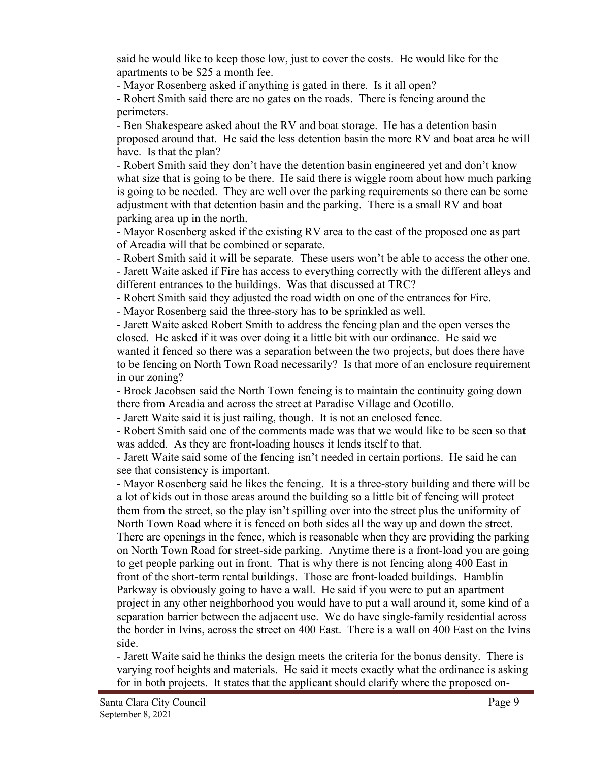said he would like to keep those low, just to cover the costs. He would like for the apartments to be \$25 a month fee.

- Mayor Rosenberg asked if anything is gated in there. Is it all open?

- Robert Smith said there are no gates on the roads. There is fencing around the perimeters.

- Ben Shakespeare asked about the RV and boat storage. He has a detention basin proposed around that. He said the less detention basin the more RV and boat area he will have. Is that the plan?

- Robert Smith said they don't have the detention basin engineered yet and don't know what size that is going to be there. He said there is wiggle room about how much parking is going to be needed. They are well over the parking requirements so there can be some adjustment with that detention basin and the parking. There is a small RV and boat parking area up in the north.

- Mayor Rosenberg asked if the existing RV area to the east of the proposed one as part of Arcadia will that be combined or separate.

- Robert Smith said it will be separate. These users won't be able to access the other one. - Jarett Waite asked if Fire has access to everything correctly with the different alleys and different entrances to the buildings. Was that discussed at TRC?

- Robert Smith said they adjusted the road width on one of the entrances for Fire.

- Mayor Rosenberg said the three-story has to be sprinkled as well.

- Jarett Waite asked Robert Smith to address the fencing plan and the open verses the closed. He asked if it was over doing it a little bit with our ordinance. He said we wanted it fenced so there was a separation between the two projects, but does there have to be fencing on North Town Road necessarily? Is that more of an enclosure requirement in our zoning?

- Brock Jacobsen said the North Town fencing is to maintain the continuity going down there from Arcadia and across the street at Paradise Village and Ocotillo.

- Jarett Waite said it is just railing, though. It is not an enclosed fence.

- Robert Smith said one of the comments made was that we would like to be seen so that was added. As they are front-loading houses it lends itself to that.

- Jarett Waite said some of the fencing isn't needed in certain portions. He said he can see that consistency is important.

- Mayor Rosenberg said he likes the fencing. It is a three-story building and there will be a lot of kids out in those areas around the building so a little bit of fencing will protect them from the street, so the play isn't spilling over into the street plus the uniformity of North Town Road where it is fenced on both sides all the way up and down the street. There are openings in the fence, which is reasonable when they are providing the parking on North Town Road for street-side parking. Anytime there is a front-load you are going to get people parking out in front. That is why there is not fencing along 400 East in front of the short-term rental buildings. Those are front-loaded buildings. Hamblin Parkway is obviously going to have a wall. He said if you were to put an apartment project in any other neighborhood you would have to put a wall around it, some kind of a separation barrier between the adjacent use. We do have single-family residential across the border in Ivins, across the street on 400 East. There is a wall on 400 East on the Ivins side.

- Jarett Waite said he thinks the design meets the criteria for the bonus density. There is varying roof heights and materials. He said it meets exactly what the ordinance is asking for in both projects. It states that the applicant should clarify where the proposed on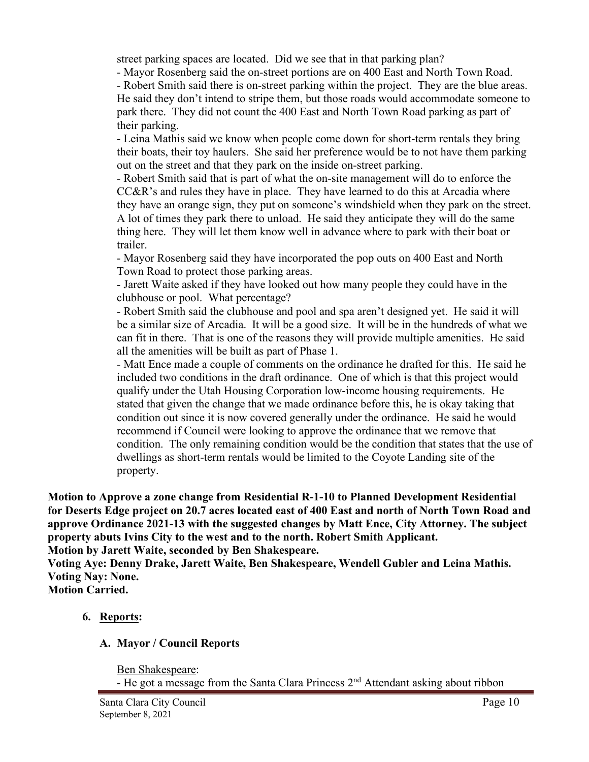street parking spaces are located. Did we see that in that parking plan?

- Mayor Rosenberg said the on-street portions are on 400 East and North Town Road. - Robert Smith said there is on-street parking within the project. They are the blue areas. He said they don't intend to stripe them, but those roads would accommodate someone to park there. They did not count the 400 East and North Town Road parking as part of their parking.

- Leina Mathis said we know when people come down for short-term rentals they bring their boats, their toy haulers. She said her preference would be to not have them parking out on the street and that they park on the inside on-street parking.

- Robert Smith said that is part of what the on-site management will do to enforce the CC&R's and rules they have in place. They have learned to do this at Arcadia where they have an orange sign, they put on someone's windshield when they park on the street. A lot of times they park there to unload. He said they anticipate they will do the same thing here. They will let them know well in advance where to park with their boat or trailer.

- Mayor Rosenberg said they have incorporated the pop outs on 400 East and North Town Road to protect those parking areas.

- Jarett Waite asked if they have looked out how many people they could have in the clubhouse or pool. What percentage?

- Robert Smith said the clubhouse and pool and spa aren't designed yet. He said it will be a similar size of Arcadia. It will be a good size. It will be in the hundreds of what we can fit in there. That is one of the reasons they will provide multiple amenities. He said all the amenities will be built as part of Phase 1.

- Matt Ence made a couple of comments on the ordinance he drafted for this. He said he included two conditions in the draft ordinance. One of which is that this project would qualify under the Utah Housing Corporation low-income housing requirements. He stated that given the change that we made ordinance before this, he is okay taking that condition out since it is now covered generally under the ordinance. He said he would recommend if Council were looking to approve the ordinance that we remove that condition. The only remaining condition would be the condition that states that the use of dwellings as short-term rentals would be limited to the Coyote Landing site of the property.

**Motion to Approve a zone change from Residential R-1-10 to Planned Development Residential for Deserts Edge project on 20.7 acres located east of 400 East and north of North Town Road and approve Ordinance 2021-13 with the suggested changes by Matt Ence, City Attorney. The subject property abuts Ivins City to the west and to the north. Robert Smith Applicant. Motion by Jarett Waite, seconded by Ben Shakespeare.**

**Voting Aye: Denny Drake, Jarett Waite, Ben Shakespeare, Wendell Gubler and Leina Mathis. Voting Nay: None.**

**Motion Carried.**

# **6. Reports:**

# **A. Mayor / Council Reports**

Ben Shakespeare: - He got a message from the Santa Clara Princess  $2<sup>nd</sup>$  Attendant asking about ribbon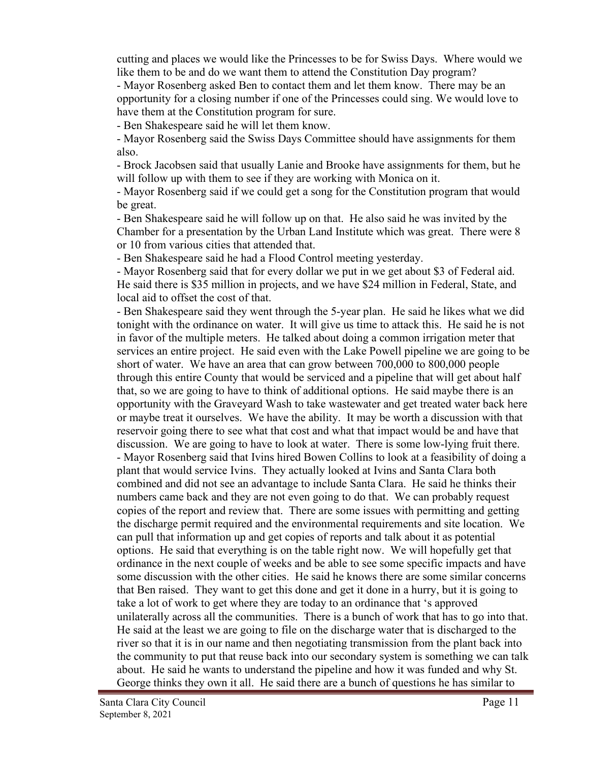cutting and places we would like the Princesses to be for Swiss Days. Where would we like them to be and do we want them to attend the Constitution Day program?

- Mayor Rosenberg asked Ben to contact them and let them know. There may be an opportunity for a closing number if one of the Princesses could sing. We would love to have them at the Constitution program for sure.

- Ben Shakespeare said he will let them know.

- Mayor Rosenberg said the Swiss Days Committee should have assignments for them also.

- Brock Jacobsen said that usually Lanie and Brooke have assignments for them, but he will follow up with them to see if they are working with Monica on it.

- Mayor Rosenberg said if we could get a song for the Constitution program that would be great.

- Ben Shakespeare said he will follow up on that. He also said he was invited by the Chamber for a presentation by the Urban Land Institute which was great. There were 8 or 10 from various cities that attended that.

- Ben Shakespeare said he had a Flood Control meeting yesterday.

- Mayor Rosenberg said that for every dollar we put in we get about \$3 of Federal aid. He said there is \$35 million in projects, and we have \$24 million in Federal, State, and local aid to offset the cost of that.

- Ben Shakespeare said they went through the 5-year plan. He said he likes what we did tonight with the ordinance on water. It will give us time to attack this. He said he is not in favor of the multiple meters. He talked about doing a common irrigation meter that services an entire project. He said even with the Lake Powell pipeline we are going to be short of water. We have an area that can grow between 700,000 to 800,000 people through this entire County that would be serviced and a pipeline that will get about half that, so we are going to have to think of additional options. He said maybe there is an opportunity with the Graveyard Wash to take wastewater and get treated water back here or maybe treat it ourselves. We have the ability. It may be worth a discussion with that reservoir going there to see what that cost and what that impact would be and have that discussion. We are going to have to look at water. There is some low-lying fruit there. - Mayor Rosenberg said that Ivins hired Bowen Collins to look at a feasibility of doing a plant that would service Ivins. They actually looked at Ivins and Santa Clara both combined and did not see an advantage to include Santa Clara. He said he thinks their numbers came back and they are not even going to do that. We can probably request copies of the report and review that. There are some issues with permitting and getting the discharge permit required and the environmental requirements and site location. We can pull that information up and get copies of reports and talk about it as potential options. He said that everything is on the table right now. We will hopefully get that ordinance in the next couple of weeks and be able to see some specific impacts and have some discussion with the other cities. He said he knows there are some similar concerns that Ben raised. They want to get this done and get it done in a hurry, but it is going to take a lot of work to get where they are today to an ordinance that 's approved unilaterally across all the communities. There is a bunch of work that has to go into that. He said at the least we are going to file on the discharge water that is discharged to the river so that it is in our name and then negotiating transmission from the plant back into the community to put that reuse back into our secondary system is something we can talk about. He said he wants to understand the pipeline and how it was funded and why St. George thinks they own it all. He said there are a bunch of questions he has similar to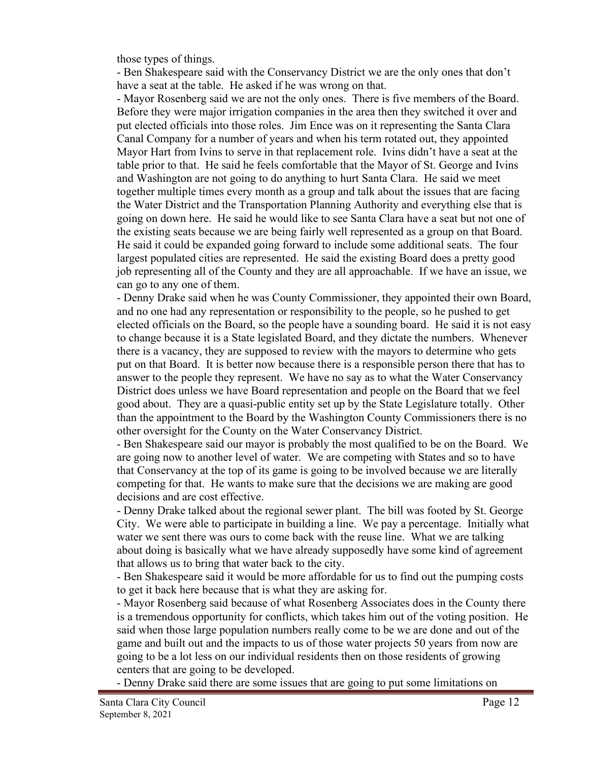those types of things.

- Ben Shakespeare said with the Conservancy District we are the only ones that don't have a seat at the table. He asked if he was wrong on that.

- Mayor Rosenberg said we are not the only ones. There is five members of the Board. Before they were major irrigation companies in the area then they switched it over and put elected officials into those roles. Jim Ence was on it representing the Santa Clara Canal Company for a number of years and when his term rotated out, they appointed Mayor Hart from Ivins to serve in that replacement role. Ivins didn't have a seat at the table prior to that. He said he feels comfortable that the Mayor of St. George and Ivins and Washington are not going to do anything to hurt Santa Clara. He said we meet together multiple times every month as a group and talk about the issues that are facing the Water District and the Transportation Planning Authority and everything else that is going on down here. He said he would like to see Santa Clara have a seat but not one of the existing seats because we are being fairly well represented as a group on that Board. He said it could be expanded going forward to include some additional seats. The four largest populated cities are represented. He said the existing Board does a pretty good job representing all of the County and they are all approachable. If we have an issue, we can go to any one of them.

- Denny Drake said when he was County Commissioner, they appointed their own Board, and no one had any representation or responsibility to the people, so he pushed to get elected officials on the Board, so the people have a sounding board. He said it is not easy to change because it is a State legislated Board, and they dictate the numbers. Whenever there is a vacancy, they are supposed to review with the mayors to determine who gets put on that Board. It is better now because there is a responsible person there that has to answer to the people they represent. We have no say as to what the Water Conservancy District does unless we have Board representation and people on the Board that we feel good about. They are a quasi-public entity set up by the State Legislature totally. Other than the appointment to the Board by the Washington County Commissioners there is no other oversight for the County on the Water Conservancy District.

- Ben Shakespeare said our mayor is probably the most qualified to be on the Board. We are going now to another level of water. We are competing with States and so to have that Conservancy at the top of its game is going to be involved because we are literally competing for that. He wants to make sure that the decisions we are making are good decisions and are cost effective.

- Denny Drake talked about the regional sewer plant. The bill was footed by St. George City. We were able to participate in building a line. We pay a percentage. Initially what water we sent there was ours to come back with the reuse line. What we are talking about doing is basically what we have already supposedly have some kind of agreement that allows us to bring that water back to the city.

- Ben Shakespeare said it would be more affordable for us to find out the pumping costs to get it back here because that is what they are asking for.

- Mayor Rosenberg said because of what Rosenberg Associates does in the County there is a tremendous opportunity for conflicts, which takes him out of the voting position. He said when those large population numbers really come to be we are done and out of the game and built out and the impacts to us of those water projects 50 years from now are going to be a lot less on our individual residents then on those residents of growing centers that are going to be developed.

- Denny Drake said there are some issues that are going to put some limitations on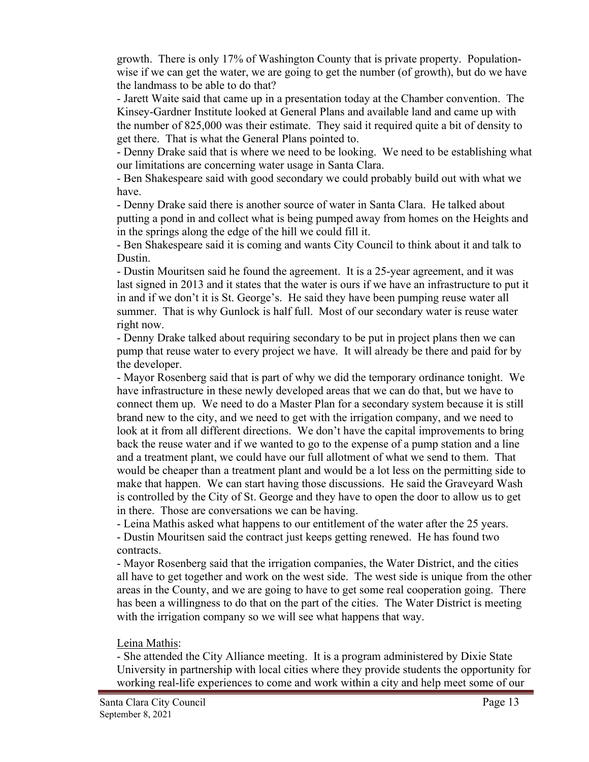growth. There is only 17% of Washington County that is private property. Populationwise if we can get the water, we are going to get the number (of growth), but do we have the landmass to be able to do that?

- Jarett Waite said that came up in a presentation today at the Chamber convention. The Kinsey-Gardner Institute looked at General Plans and available land and came up with the number of 825,000 was their estimate. They said it required quite a bit of density to get there. That is what the General Plans pointed to.

- Denny Drake said that is where we need to be looking. We need to be establishing what our limitations are concerning water usage in Santa Clara.

- Ben Shakespeare said with good secondary we could probably build out with what we have.

- Denny Drake said there is another source of water in Santa Clara. He talked about putting a pond in and collect what is being pumped away from homes on the Heights and in the springs along the edge of the hill we could fill it.

- Ben Shakespeare said it is coming and wants City Council to think about it and talk to Dustin.

- Dustin Mouritsen said he found the agreement. It is a 25-year agreement, and it was last signed in 2013 and it states that the water is ours if we have an infrastructure to put it in and if we don't it is St. George's. He said they have been pumping reuse water all summer. That is why Gunlock is half full. Most of our secondary water is reuse water right now.

- Denny Drake talked about requiring secondary to be put in project plans then we can pump that reuse water to every project we have. It will already be there and paid for by the developer.

- Mayor Rosenberg said that is part of why we did the temporary ordinance tonight. We have infrastructure in these newly developed areas that we can do that, but we have to connect them up. We need to do a Master Plan for a secondary system because it is still brand new to the city, and we need to get with the irrigation company, and we need to look at it from all different directions. We don't have the capital improvements to bring back the reuse water and if we wanted to go to the expense of a pump station and a line and a treatment plant, we could have our full allotment of what we send to them. That would be cheaper than a treatment plant and would be a lot less on the permitting side to make that happen. We can start having those discussions. He said the Graveyard Wash is controlled by the City of St. George and they have to open the door to allow us to get in there. Those are conversations we can be having.

- Leina Mathis asked what happens to our entitlement of the water after the 25 years. - Dustin Mouritsen said the contract just keeps getting renewed. He has found two contracts.

- Mayor Rosenberg said that the irrigation companies, the Water District, and the cities all have to get together and work on the west side. The west side is unique from the other areas in the County, and we are going to have to get some real cooperation going. There has been a willingness to do that on the part of the cities. The Water District is meeting with the irrigation company so we will see what happens that way.

# Leina Mathis:

- She attended the City Alliance meeting. It is a program administered by Dixie State University in partnership with local cities where they provide students the opportunity for working real-life experiences to come and work within a city and help meet some of our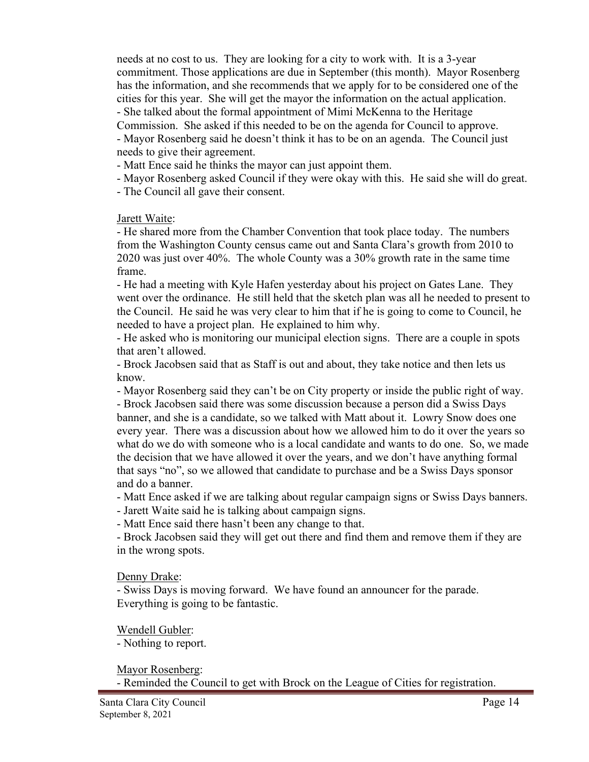needs at no cost to us. They are looking for a city to work with. It is a 3-year commitment. Those applications are due in September (this month). Mayor Rosenberg has the information, and she recommends that we apply for to be considered one of the cities for this year. She will get the mayor the information on the actual application. - She talked about the formal appointment of Mimi McKenna to the Heritage

Commission. She asked if this needed to be on the agenda for Council to approve. - Mayor Rosenberg said he doesn't think it has to be on an agenda. The Council just needs to give their agreement.

- Matt Ence said he thinks the mayor can just appoint them.

- Mayor Rosenberg asked Council if they were okay with this. He said she will do great.

- The Council all gave their consent.

#### Jarett Waite:

- He shared more from the Chamber Convention that took place today. The numbers from the Washington County census came out and Santa Clara's growth from 2010 to 2020 was just over 40%. The whole County was a 30% growth rate in the same time frame.

- He had a meeting with Kyle Hafen yesterday about his project on Gates Lane. They went over the ordinance. He still held that the sketch plan was all he needed to present to the Council. He said he was very clear to him that if he is going to come to Council, he needed to have a project plan. He explained to him why.

- He asked who is monitoring our municipal election signs. There are a couple in spots that aren't allowed.

- Brock Jacobsen said that as Staff is out and about, they take notice and then lets us know.

- Mayor Rosenberg said they can't be on City property or inside the public right of way. - Brock Jacobsen said there was some discussion because a person did a Swiss Days

banner, and she is a candidate, so we talked with Matt about it. Lowry Snow does one every year. There was a discussion about how we allowed him to do it over the years so what do we do with someone who is a local candidate and wants to do one. So, we made the decision that we have allowed it over the years, and we don't have anything formal that says "no", so we allowed that candidate to purchase and be a Swiss Days sponsor and do a banner.

- Matt Ence asked if we are talking about regular campaign signs or Swiss Days banners.

- Jarett Waite said he is talking about campaign signs.

- Matt Ence said there hasn't been any change to that.

- Brock Jacobsen said they will get out there and find them and remove them if they are in the wrong spots.

Denny Drake:

- Swiss Days is moving forward. We have found an announcer for the parade. Everything is going to be fantastic.

Wendell Gubler:

- Nothing to report.

Mayor Rosenberg:

- Reminded the Council to get with Brock on the League of Cities for registration.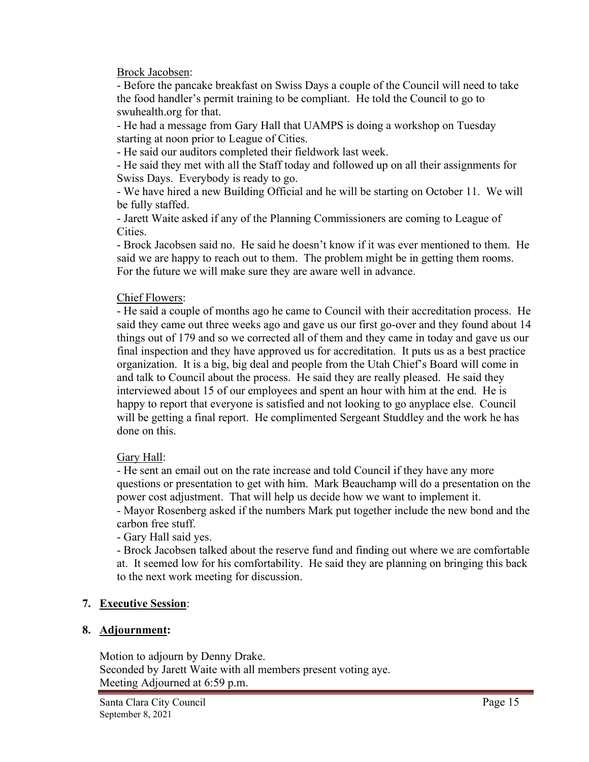Brock Jacobsen:

- Before the pancake breakfast on Swiss Days a couple of the Council will need to take the food handler's permit training to be compliant. He told the Council to go to swuhealth.org for that.

- He had a message from Gary Hall that UAMPS is doing a workshop on Tuesday starting at noon prior to League of Cities.

- He said our auditors completed their fieldwork last week.

- He said they met with all the Staff today and followed up on all their assignments for Swiss Days. Everybody is ready to go.

- We have hired a new Building Official and he will be starting on October 11. We will be fully staffed.

- Jarett Waite asked if any of the Planning Commissioners are coming to League of Cities.

- Brock Jacobsen said no. He said he doesn't know if it was ever mentioned to them. He said we are happy to reach out to them. The problem might be in getting them rooms. For the future we will make sure they are aware well in advance.

# Chief Flowers:

- He said a couple of months ago he came to Council with their accreditation process. He said they came out three weeks ago and gave us our first go-over and they found about 14 things out of 179 and so we corrected all of them and they came in today and gave us our final inspection and they have approved us for accreditation. It puts us as a best practice organization. It is a big, big deal and people from the Utah Chief's Board will come in and talk to Council about the process. He said they are really pleased. He said they interviewed about 15 of our employees and spent an hour with him at the end. He is happy to report that everyone is satisfied and not looking to go anyplace else. Council will be getting a final report. He complimented Sergeant Studdley and the work he has done on this.

# Gary Hall:

- He sent an email out on the rate increase and told Council if they have any more questions or presentation to get with him. Mark Beauchamp will do a presentation on the power cost adjustment. That will help us decide how we want to implement it. - Mayor Rosenberg asked if the numbers Mark put together include the new bond and the carbon free stuff.

- Gary Hall said yes.

- Brock Jacobsen talked about the reserve fund and finding out where we are comfortable at. It seemed low for his comfortability. He said they are planning on bringing this back to the next work meeting for discussion.

# **7. Executive Session**:

# **8. Adjournment:**

Motion to adjourn by Denny Drake. Seconded by Jarett Waite with all members present voting aye. Meeting Adjourned at 6:59 p.m.